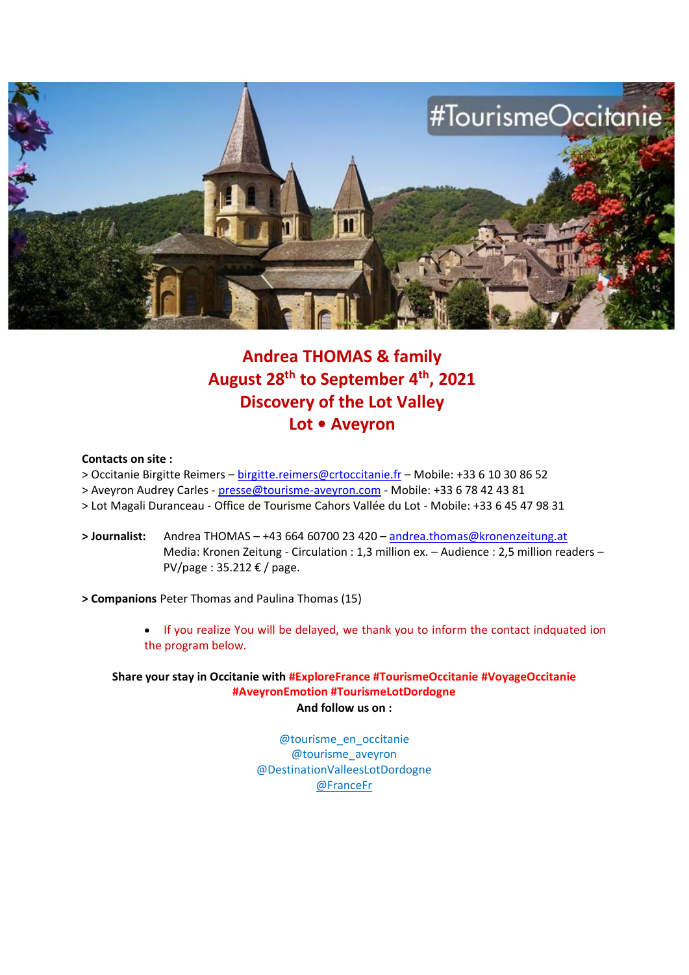

# **Andrea THOMAS & family August 28th to September 4th, 2021 Discovery of the Lot Valley Lot • Aveyron**

#### **Contacts on site :**

- > Occitanie Birgitte Reimers [birgitte.reimers@crtoccitanie.fr](mailto:birgitte.reimers@crtoccitanie.fr) Mobile: +33 6 10 30 86 52
- > Aveyron Audrey Carles [presse@tourisme-aveyron.com](mailto:presse@tourisme-aveyron.com) Mobile: +33 6 78 42 43 81
- > Lot Magali Duranceau Office de Tourisme Cahors Vallée du Lot Mobile: +33 6 45 47 98 31
- **> Journalist:** Andrea THOMAS +43 664 60700 23 420 [andrea.thomas@kronenzeitung.at](mailto:andrea.thomas@kronenzeitung.at)  Media: Kronen Zeitung - Circulation : 1,3 million ex. – Audience : 2,5 million readers – PV/page : 35.212 € / page.

**> Companions** Peter Thomas and Paulina Thomas (15)

• If you realize You will be delayed, we thank you to inform the contact indquated ion the program below.

**Share your stay in Occitanie with #ExploreFrance #TourismeOccitanie #VoyageOccitanie #AveyronEmotion #TourismeLotDordogne And follow us on :**

> @tourisme\_en\_occitanie @tourisme\_aveyron @DestinationValleesLotDordogne [@FranceFr](https://www.instagram.com/FranceFr/)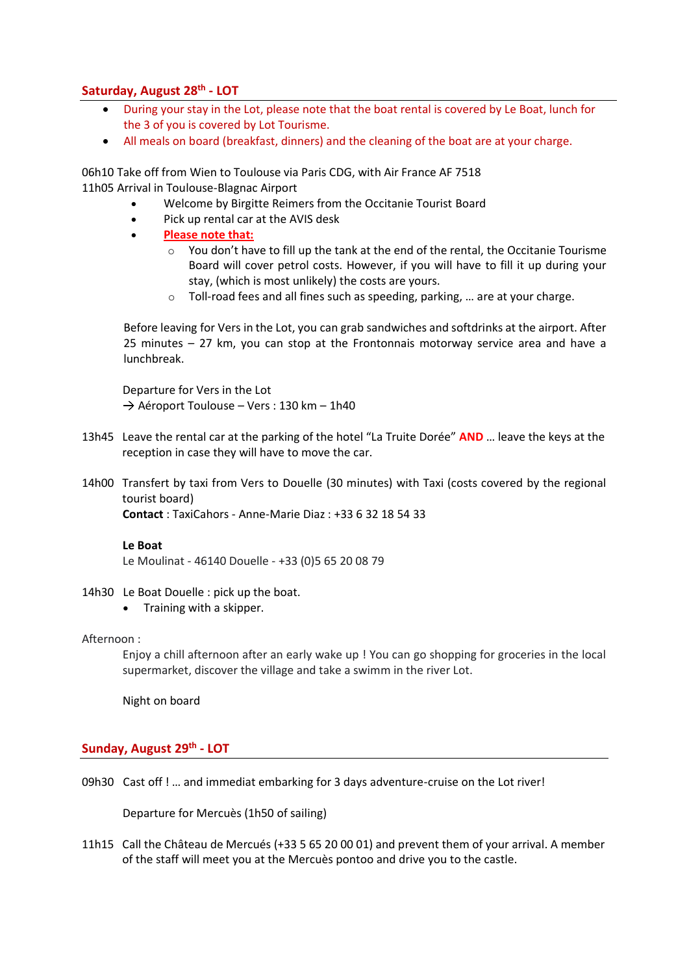# **Saturday, August 28th - LOT**

- During your stay in the Lot, please note that the boat rental is covered by Le Boat, lunch for the 3 of you is covered by Lot Tourisme.
- All meals on board (breakfast, dinners) and the cleaning of the boat are at your charge.

06h10 Take off from Wien to Toulouse via Paris CDG, with Air France AF 7518 11h05 Arrival in Toulouse-Blagnac Airport

- Welcome by Birgitte Reimers from the Occitanie Tourist Board
- Pick up rental car at the AVIS desk
- **Please note that:**
	- $\circ$  You don't have to fill up the tank at the end of the rental, the Occitanie Tourisme Board will cover petrol costs. However, if you will have to fill it up during your stay, (which is most unlikely) the costs are yours.
	- o Toll-road fees and all fines such as speeding, parking, … are at your charge.

Before leaving for Vers in the Lot, you can grab sandwiches and softdrinks at the airport. After 25 minutes – 27 km, you can stop at the Frontonnais motorway service area and have a lunchbreak.

Departure for Vers in the Lot  $\rightarrow$  Aéroport Toulouse – Vers : 130 km – 1h40

- 13h45 Leave the rental car at the parking of the hotel "La Truite Dorée" **AND** … leave the keys at the reception in case they will have to move the car.
- 14h00 Transfert by taxi from Vers to Douelle (30 minutes) with Taxi (costs covered by the regional tourist board)

**Contact** : TaxiCahors - Anne-Marie Diaz : +33 6 32 18 54 33

#### **Le Boat**

Le Moulinat - 46140 Douelle - +33 (0)5 65 20 08 79

#### 14h30 Le Boat Douelle : pick up the boat.

• Training with a skipper.

#### Afternoon :

Enjoy a chill afternoon after an early wake up ! You can go shopping for groceries in the local supermarket, discover the village and take a swimm in the river Lot.

Night on board

# **Sunday, August 29th - LOT**

09h30 Cast off ! … and immediat embarking for 3 days adventure-cruise on the Lot river!

Departure for Mercuès (1h50 of sailing)

11h15 Call the Château de Mercués (+33 5 65 20 00 01) and prevent them of your arrival. A member of the staff will meet you at the Mercuès pontoo and drive you to the castle.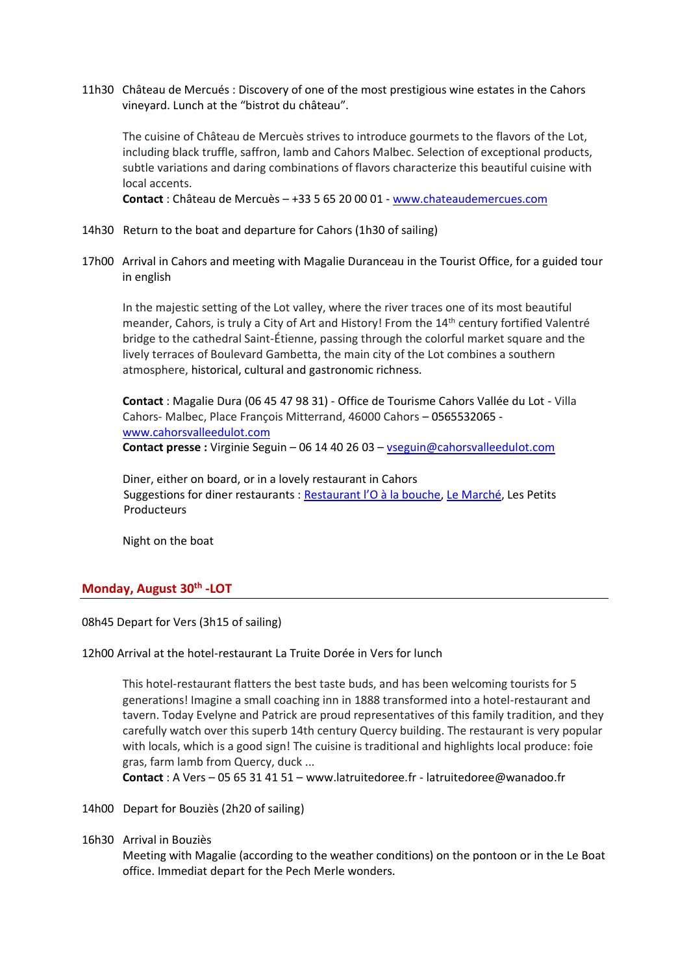11h30 Château de Mercués : Discovery of one of the most prestigious wine estates in the Cahors vineyard. Lunch at the "bistrot du château".

The cuisine of Château de Mercuès strives to introduce gourmets to the flavors of the Lot, including black truffle, saffron, lamb and Cahors Malbec. Selection of exceptional products, subtle variations and daring combinations of flavors characterize this beautiful cuisine with local accents.

**Contact** : Château de Mercuès – +33 5 65 20 00 01 - [www.chateaudemercues.com](http://www.chateaudemercues.com/)

- 14h30 Return to the boat and departure for Cahors (1h30 of sailing)
- 17h00 Arrival in Cahors and meeting with Magalie Duranceau in the Tourist Office, for a guided tour in english

In the majestic setting of the Lot valley, where the river traces one of its most beautiful meander, Cahors, is truly a City of Art and History! From the 14<sup>th</sup> century fortified Valentré bridge to the cathedral Saint-Étienne, passing through the colorful market square and the lively terraces of Boulevard Gambetta, the main city of the Lot combines a southern atmosphere, historical, cultural and gastronomic richness.

**Contact** : Magalie Dura (06 45 47 98 31) - Office de Tourisme Cahors Vallée du Lot - Villa Cahors- Malbec, Place François Mitterrand, 46000 Cahors – 0565532065 [www.cahorsvalleedulot.com](http://www.cahorsvalleedulot.com/) **Contact presse :** Virginie Seguin – 06 14 40 26 03 – [vseguin@cahorsvalleedulot.com](mailto:vseguin@cahorsvalleedulot.com)

Diner, either on board, or in a lovely restaurant in Cahors Suggestions for diner restaurants : [Restaurant l'O à la bouche](https://www.tourisme-lot.com/offres/restaurant-lo-a-la-bouche-cahors-fr-702618/), [Le Marché,](https://www.tourisme-lot.com/offres/restaurant-le-marche-cahors-fr-702148/) Les Petits **Producteurs** 

Night on the boat

# **Monday, August 30th -LOT**

08h45 Depart for Vers (3h15 of sailing)

#### 12h00 Arrival at the hotel-restaurant La Truite Dorée in Vers for lunch

This hotel-restaurant flatters the best taste buds, and has been welcoming tourists for 5 generations! Imagine a small coaching inn in 1888 transformed into a hotel-restaurant and tavern. Today Evelyne and Patrick are proud representatives of this family tradition, and they carefully watch over this superb 14th century Quercy building. The restaurant is very popular with locals, which is a good sign! The cuisine is traditional and highlights local produce: foie gras, farm lamb from Quercy, duck ...

**Contact** : A Vers – 05 65 31 41 51 – [www.latruitedoree.fr](http://www.latruitedoree.fr/) - [latruitedoree@wanadoo.fr](mailto:latruitedoree@wanadoo.fr)

14h00 Depart for Bouziès (2h20 of sailing)

16h30 Arrival in Bouziès

Meeting with Magalie (according to the weather conditions) on the pontoon or in the Le Boat office. Immediat depart for the Pech Merle wonders.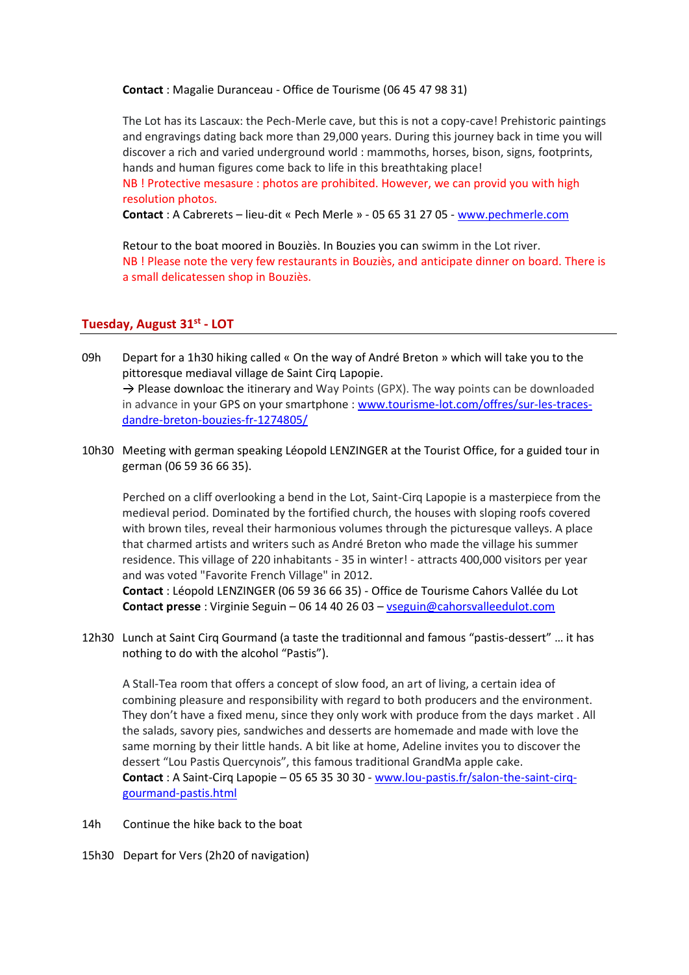**Contact** : Magalie Duranceau - Office de Tourisme (06 45 47 98 31)

The Lot has its Lascaux: the Pech-Merle cave, but this is not a copy-cave! Prehistoric paintings and engravings dating back more than 29,000 years. During this journey back in time you will discover a rich and varied underground world : mammoths, horses, bison, signs, footprints, hands and human figures come back to life in this breathtaking place!

NB ! Protective mesasure : photos are prohibited. However, we can provid you with high resolution photos.

**Contact** : A Cabrerets – lieu-dit « Pech Merle » - 05 65 31 27 05 - [www.pechmerle.com](http://www.pechmerle.com/)

Retour to the boat moored in Bouziès. In Bouzies you can swimm in the Lot river. NB ! Please note the very few restaurants in Bouziès, and anticipate dinner on board. There is a small delicatessen shop in Bouziès.

# **Tuesday, August 31st - LOT**

- 09h Depart for a 1h30 hiking called « On the way of André Breton » which will take you to the pittoresque mediaval village de Saint Cirq Lapopie.  $\rightarrow$  Please downloac the itinerary and Way Points (GPX). The way points can be downloaded in advance in your GPS on your smartphone : [www.tourisme-lot.com/offres/sur-les-traces](http://www.tourisme-lot.com/offres/sur-les-traces-dandre-breton-bouzies-fr-1274805/)[dandre-breton-bouzies-fr-1274805/](http://www.tourisme-lot.com/offres/sur-les-traces-dandre-breton-bouzies-fr-1274805/)
- 10h30 Meeting with german speaking Léopold LENZINGER at the Tourist Office, for a guided tour in german (06 59 36 66 35).

Perched on a cliff overlooking a bend in the Lot, Saint-Cirq Lapopie is a masterpiece from the medieval period. Dominated by the fortified church, the houses with sloping roofs covered with brown tiles, reveal their harmonious volumes through the picturesque valleys. A place that charmed artists and writers such as André Breton who made the village his summer residence. This village of 220 inhabitants - 35 in winter! - attracts 400,000 visitors per year and was voted "Favorite French Village" in 2012.

**Contact** : Léopold LENZINGER (06 59 36 66 35) - Office de Tourisme Cahors Vallée du Lot **Contact presse** : Virginie Seguin – 06 14 40 26 03 – [vseguin@cahorsvalleedulot.com](mailto:vseguin@cahorsvalleedulot.com)

12h30 Lunch at Saint Cirq Gourmand (a taste the traditionnal and famous "pastis-dessert" … it has nothing to do with the alcohol "Pastis").

A Stall-Tea room that offers a concept of slow food, an art of living, a certain idea of combining pleasure and responsibility with regard to both producers and the environment. They don't have a fixed menu, since they only work with produce from the days market . All the salads, savory pies, sandwiches and desserts are homemade and made with love the same morning by their little hands. A bit like at home, Adeline invites you to discover the dessert "Lou Pastis Quercynois", this famous traditional GrandMa apple cake. **Contact** : A Saint-Cirq Lapopie – 05 65 35 30 30 - [www.lou-pastis.fr/salon-the-saint-cirq](http://www.lou-pastis.fr/salon-the-saint-cirq-gourmand-pastis.html)[gourmand-pastis.html](http://www.lou-pastis.fr/salon-the-saint-cirq-gourmand-pastis.html)

- 14h Continue the hike back to the boat
- 15h30 Depart for Vers (2h20 of navigation)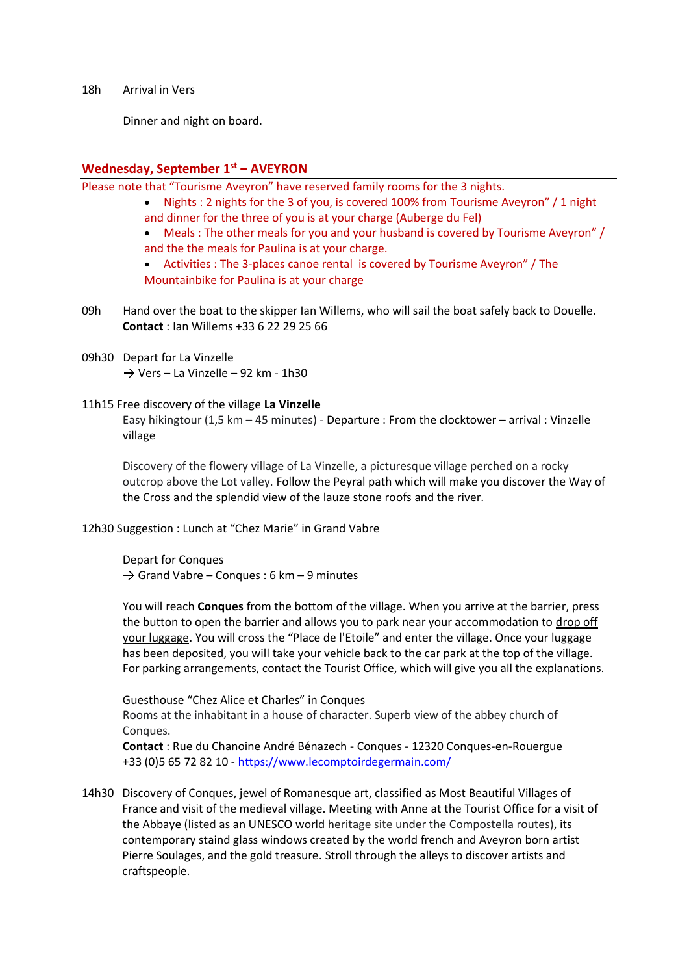18h Arrival in Vers

Dinner and night on board.

# **Wednesday, September 1 st – AVEYRON**

Please note that "Tourisme Aveyron" have reserved family rooms for the 3 nights.

- Nights : 2 nights for the 3 of you, is covered 100% from Tourisme Aveyron" / 1 night and dinner for the three of you is at your charge (Auberge du Fel)
- Meals : The other meals for you and your husband is covered by Tourisme Aveyron" / and the the meals for Paulina is at your charge.

• Activities : The 3-places canoe rental is covered by Tourisme Aveyron" / The

Mountainbike for Paulina is at your charge

- 09h Hand over the boat to the skipper Ian Willems, who will sail the boat safely back to Douelle. **Contact** : Ian Willems +33 6 22 29 25 66
- 09h30 Depart for La Vinzelle  $\rightarrow$  Vers – La Vinzelle – 92 km - 1h30

#### 11h15 Free discovery of the village **La Vinzelle**

Easy hikingtour (1,5 km – 45 minutes) - Departure : From the clocktower – arrival : Vinzelle village

Discovery of the flowery village of La Vinzelle, a picturesque village perched on a rocky outcrop above the Lot valley. Follow the Peyral path which will make you discover the Way of the Cross and the splendid view of the lauze stone roofs and the river.

12h30 Suggestion : Lunch at "Chez Marie" in Grand Vabre

Depart for Conques  $\rightarrow$  Grand Vabre – Conques : 6 km – 9 minutes

You will reach **Conques** from the bottom of the village. When you arrive at the barrier, press the button to open the barrier and allows you to park near your accommodation to drop off your luggage. You will cross the "Place de l'Etoile" and enter the village. Once your luggage has been deposited, you will take your vehicle back to the car park at the top of the village. For parking arrangements, contact the Tourist Office, which will give you all the explanations.

Guesthouse "Chez Alice et Charles" in Conques Rooms at the inhabitant in a house of character. Superb view of the abbey church of Conques.

**Contact** : Rue du Chanoine André Bénazech - Conques - 12320 Conques-en-Rouergue +33 (0)5 65 72 82 10 - <https://www.lecomptoirdegermain.com/>

14h30 Discovery of Conques, jewel of Romanesque art, classified as Most Beautiful Villages of France and visit of the medieval village. Meeting with Anne at the Tourist Office for a visit of the Abbaye (listed as an UNESCO world heritage site under the Compostella routes), its contemporary staind glass windows created by the world french and Aveyron born artist Pierre Soulages, and the gold treasure. Stroll through the alleys to discover artists and craftspeople.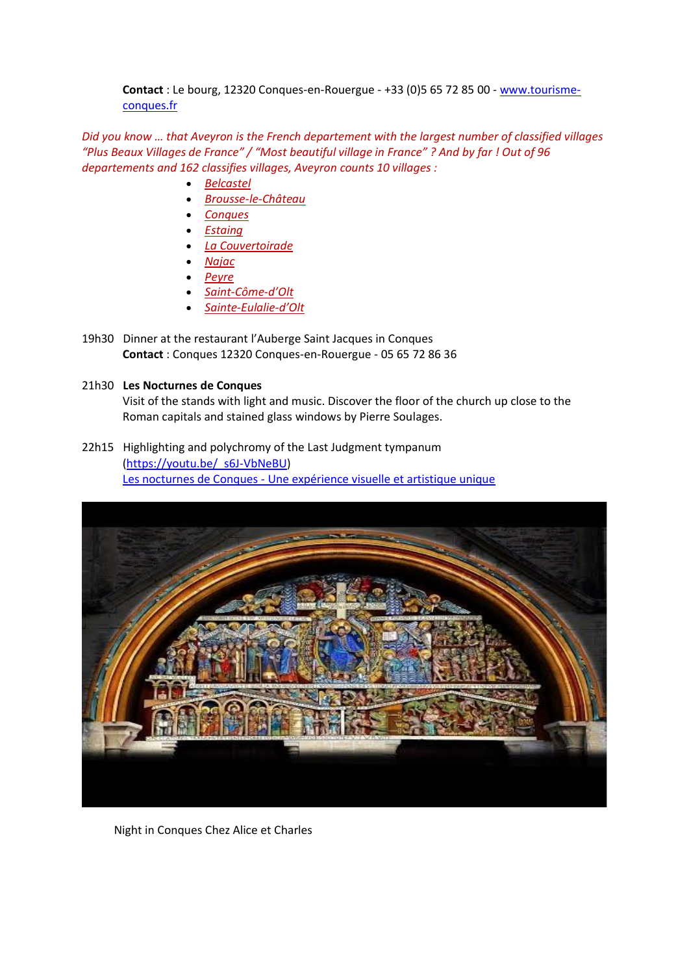**Contact** : Le bourg, 12320 Conques-en-Rouergue - +33 (0)5 65 72 85 00 - [www.tourisme](http://www.tourisme-conques.fr/)[conques.fr](http://www.tourisme-conques.fr/)

*Did you know … that Aveyron is the French departement with the largest number of classified villages "Plus Beaux Villages de France" / "Most beautiful village in France" ? And by far ! Out of 96 departements and 162 classifies villages, Aveyron counts 10 villages :*

- *[Belcastel](https://www.tourisme-pays-rignacois.com/)*
- *[Brousse-le-Château](https://www.tourisme-muse-raspes.com/)*
- *[Conques](https://www.tourisme-conques.fr/fr/)*
- *[Estaing](https://www.terresdaveyron.fr/)*
- *[La Couvertoirade](https://www.tourisme-larzac.com/fr)*
- *[Najac](https://www.tourisme-villefranche-najac.com/)*
- *[Peyre](https://www.millau-viaduc-tourisme.fr/)*
- *[Saint-Côme-](https://www.terresdaveyron.fr/)d'Olt*
- *[Sainte-Eulalie-](https://www.tourisme-aveyron.com/fr/decouvrir/les-territoires-aveyron/causses-aubrac)d'Olt*
- 19h30 Dinner at the restaurant l'Auberge Saint Jacques in Conques **Contact** : Conques 12320 Conques-en-Rouergue - 05 65 72 86 36

### 21h30 **Les Nocturnes de Conques**

Visit of the stands with light and music. Discover the floor of the church up close to the Roman capitals and stained glass windows by Pierre Soulages.

22h15 Highlighting and polychromy of the Last Judgment tympanum [\(https://youtu.be/\\_s6J-VbNeBU\)](https://youtu.be/_s6J-VbNeBU) Les nocturnes de Conques - [Une expérience visuelle et artistique unique](https://youtu.be/_s6J-VbNeBU)



Night in Conques Chez Alice et Charles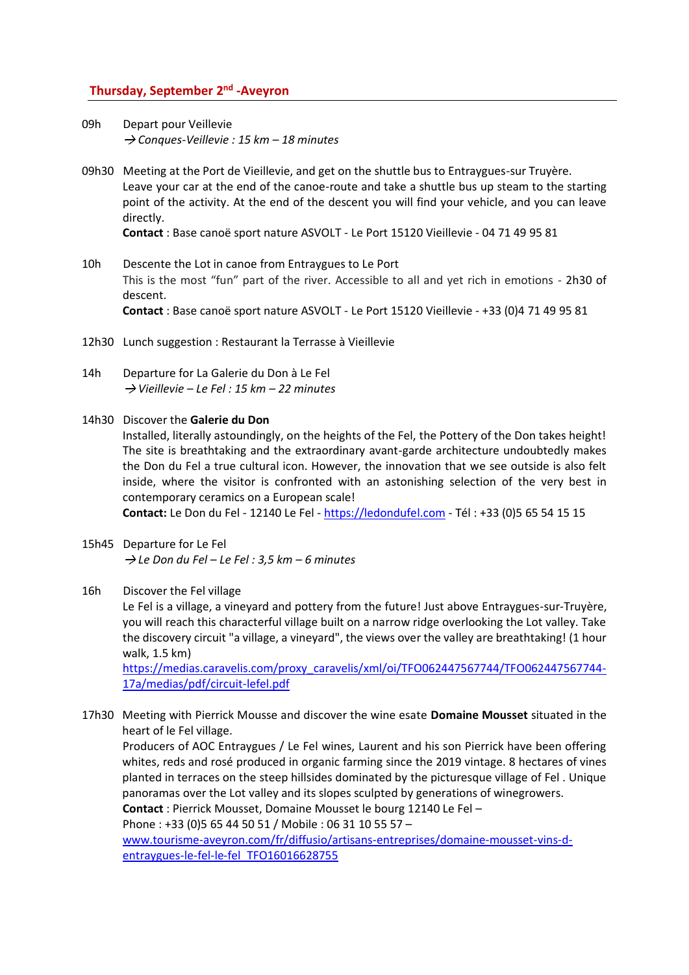# **Thursday, September 2 nd -Aveyron**

09h Depart pour Veillevie *Conques-Veillevie : 15 km – 18 minutes*

09h30 Meeting at the Port de Vieillevie, and get on the shuttle bus to Entraygues-sur Truyère. Leave your car at the end of the canoe-route and take a shuttle bus up steam to the starting point of the activity. At the end of the descent you will find your vehicle, and you can leave directly.

**Contact** : Base canoë sport nature ASVOLT - Le Port 15120 Vieillevie - 04 71 49 95 81

- 10h Descente the Lot in canoe from Entraygues to Le Port This is the most "fun" part of the river. Accessible to all and yet rich in emotions - 2h30 of descent. **Contact** : Base canoë sport nature ASVOLT - Le Port 15120 Vieillevie - +33 (0)4 71 49 95 81
- 12h30 Lunch suggestion : Restaurant la Terrasse à Vieillevie
- 14h Departure for La Galerie du Don à Le Fel *Vieillevie – Le Fel : 15 km – 22 minutes*
- 14h30 Discover the **Galerie du Don**
	- Installed, literally astoundingly, on the heights of the Fel, the Pottery of the Don takes height! The site is breathtaking and the extraordinary avant-garde architecture undoubtedly makes the Don du Fel a true cultural icon. However, the innovation that we see outside is also felt inside, where the visitor is confronted with an astonishing selection of the very best in contemporary ceramics on a European scale!

**Contact:** Le Don du Fel - 12140 Le Fel - [https://ledondufel.com](https://ledondufel.com/) - Tél : +33 (0)5 65 54 15 15

15h45 Departure for Le Fel *Le Don du Fel – Le Fel : 3,5 km – 6 minutes*

#### 16h Discover the Fel village

Le Fel is a village, a vineyard and pottery from the future! Just above Entraygues-sur-Truyère, you will reach this characterful village built on a narrow ridge overlooking the Lot valley. Take the discovery circuit "a village, a vineyard", the views over the valley are breathtaking! (1 hour walk, 1.5 km)

https://medias.caravelis.com/proxy\_caravelis/xml/oi/TFO062447567744/TFO062447567744- 17a/medias/pdf/circuit-lefel.pdf

17h30 Meeting with Pierrick Mousse and discover the wine esate **Domaine Mousset** situated in the heart of le Fel village.

Producers of AOC Entraygues / Le Fel wines, Laurent and his son Pierrick have been offering whites, reds and rosé produced in organic farming since the 2019 vintage. 8 hectares of vines planted in terraces on the steep hillsides dominated by the picturesque village of Fel . Unique panoramas over the Lot valley and its slopes sculpted by generations of winegrowers. **Contact** : Pierrick Mousset, Domaine Mousset le bourg 12140 Le Fel –

Phone : +33 (0)5 65 44 50 51 / Mobile : 06 31 10 55 57 –

[www.tourisme-aveyron.com/fr/diffusio/artisans-entreprises/domaine-mousset-vins-d](http://www.tourisme-aveyron.com/fr/diffusio/artisans-entreprises/domaine-mousset-vins-d-entraygues-le-fel-le-fel_TFO16016628755)[entraygues-le-fel-le-fel\\_TFO16016628755](http://www.tourisme-aveyron.com/fr/diffusio/artisans-entreprises/domaine-mousset-vins-d-entraygues-le-fel-le-fel_TFO16016628755)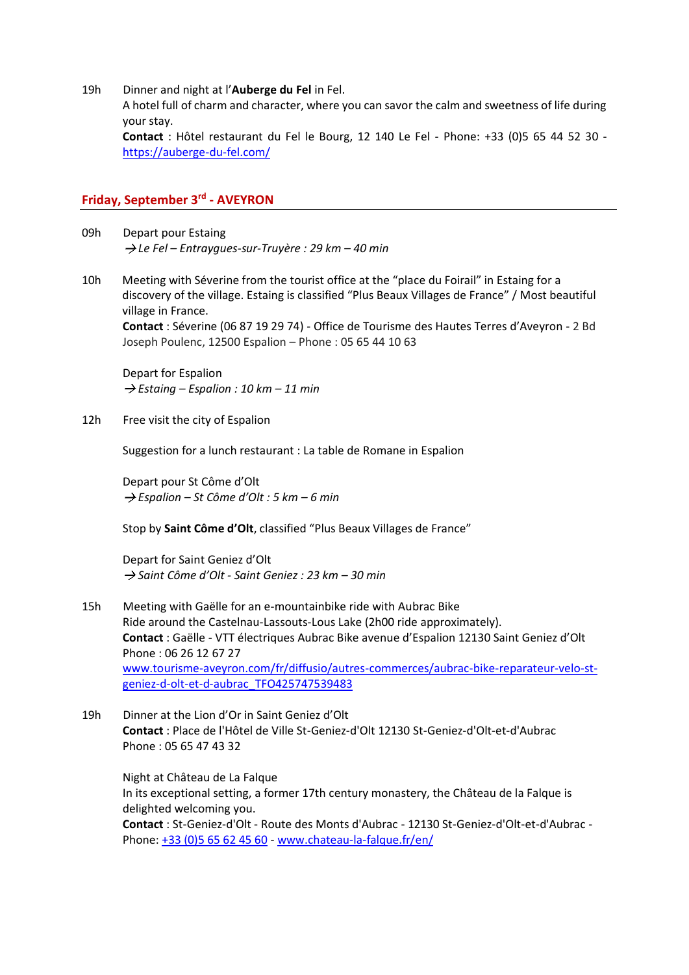19h Dinner and night at l'**Auberge du Fel** in Fel.

A hotel full of charm and character, where you can savor the calm and sweetness of life during your stay.

**Contact** : Hôtel restaurant du Fel le Bourg, 12 140 Le Fel - Phone: +33 (0)5 65 44 52 30 <https://auberge-du-fel.com/>

# **Friday, September 3rd - AVEYRON**

- 09h Depart pour Estaing → Le Fel – Entraygues-sur-Truyère : 29 km – 40 min
- 10h Meeting with Séverine from the tourist office at the "place du Foirail" in Estaing for a discovery of the village. Estaing is classified "Plus Beaux Villages de France" / Most beautiful village in France. **Contact** : Séverine (06 87 19 29 74) - Office de Tourisme des Hautes Terres d'Aveyron - 2 Bd

Joseph Poulenc, 12500 Espalion – Phone : 05 65 44 10 63

Depart for Espalion  $\rightarrow$  *Estaing – Espalion : 10 km – 11 min* 

12h Free visit the city of Espalion

Suggestion for a lunch restaurant : La table de Romane in Espalion

Depart pour St Côme d'Olt *Espalion – St Côme d'Olt : 5 km – 6 min*

Stop by **Saint Côme d'Olt**, classified "Plus Beaux Villages de France"

Depart for Saint Geniez d'Olt *Saint Côme d'Olt - Saint Geniez : 23 km – 30 min*

- 15h Meeting with Gaëlle for an e-mountainbike ride with Aubrac Bike Ride around the Castelnau-Lassouts-Lous Lake (2h00 ride approximately). **Contact** : Gaëlle - VTT électriques Aubrac Bike avenue d'Espalion 12130 Saint Geniez d'Olt Phone : 06 26 12 67 27 [www.tourisme-aveyron.com/fr/diffusio/autres-commerces/aubrac-bike-reparateur-velo-st](http://www.tourisme-aveyron.com/fr/diffusio/autres-commerces/aubrac-bike-reparateur-velo-st-geniez-d-olt-et-d-aubrac_TFO425747539483)[geniez-d-olt-et-d-aubrac\\_TFO425747539483](http://www.tourisme-aveyron.com/fr/diffusio/autres-commerces/aubrac-bike-reparateur-velo-st-geniez-d-olt-et-d-aubrac_TFO425747539483)
- 19h Dinner at the Lion d'Or in Saint Geniez d'Olt **Contact** : Place de l'Hôtel de Ville St-Geniez-d'Olt 12130 St-Geniez-d'Olt-et-d'Aubrac Phone : 05 65 47 43 32

Night at Château de La Falque In its exceptional setting, a former 17th century monastery, the Château de la Falque is delighted welcoming you. **Contact** : St-Geniez-d'Olt - Route des Monts d'Aubrac - 12130 St-Geniez-d'Olt-et-d'Aubrac - Phone: +33 (0)5 65 62 45 60 - [www.chateau-la-falque.fr/en/](https://www.chateau-la-falque.fr/en/)